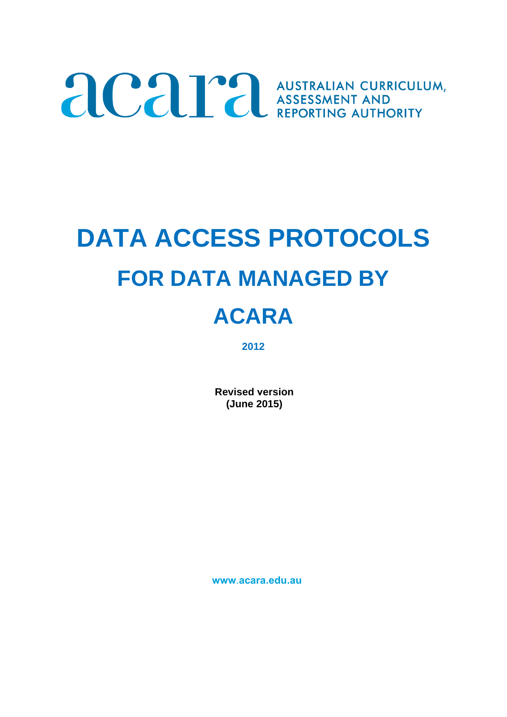# ACAP AUSTRALIAN CURRICULUM,

## **DATA ACCESS PROTOCOLS FOR DATA MANAGED BY**

### **ACARA**

**2012**

**Revised version (June 2015)** 

**www**.**acara.edu.au**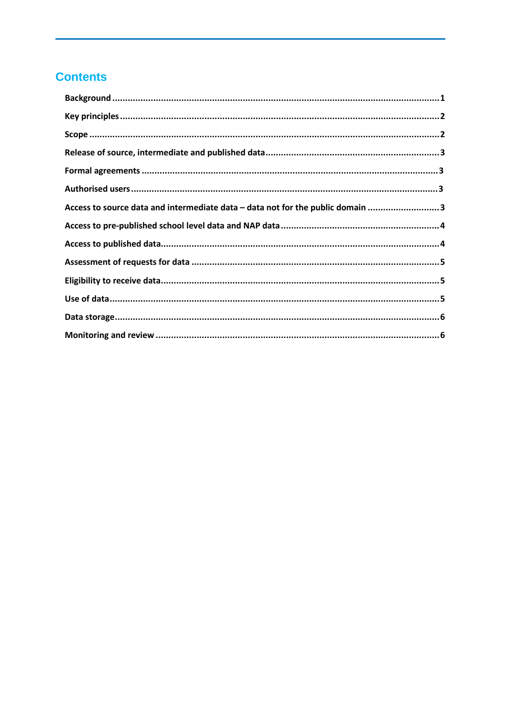#### **Contents**

| Access to source data and intermediate data - data not for the public domain 3 |
|--------------------------------------------------------------------------------|
|                                                                                |
|                                                                                |
|                                                                                |
|                                                                                |
|                                                                                |
|                                                                                |
|                                                                                |
|                                                                                |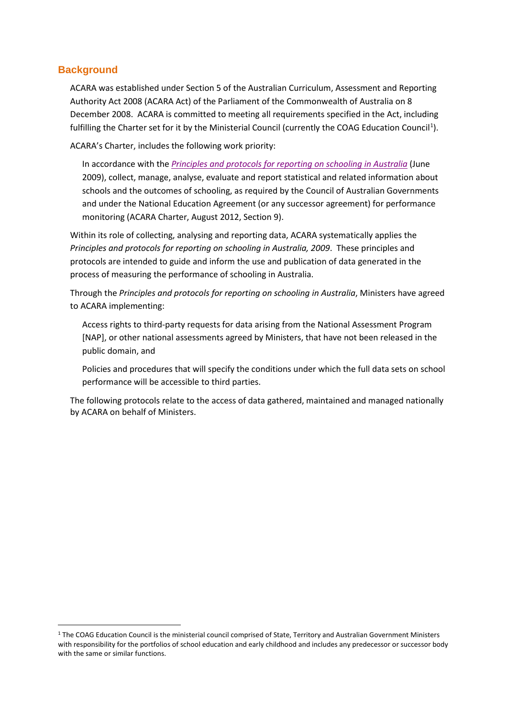#### <span id="page-2-0"></span>**Background**

ACARA was established under Section 5 of the Australian Curriculum, Assessment and Reporting Authority Act 2008 (ACARA Act) of the Parliament of the Commonwealth of Australia on 8 December 2008. ACARA is committed to meeting all requirements specified in the Act, including fulfilling the Charter set for it by the Ministerial Council (currently the COAG Education Council<sup>[1](#page-2-1)</sup>).

ACARA's Charter, includes the following work priority:

In accordance with the *[Principles and protocols for reporting on schooling in Australia](http://scseec.edu.au/site/DefaultSite/filesystem/documents/Reports%20and%20publications/Publications/Measuring%20and%20reporting%20student%20performance/Principles%20and%20protocols%20for%20reporting%20on%20schooling%20in%20Australia.pdf)* (June 2009), collect, manage, analyse, evaluate and report statistical and related information about schools and the outcomes of schooling, as required by the Council of Australian Governments and under the National Education Agreement (or any successor agreement) for performance monitoring (ACARA Charter, August 2012, Section 9).

Within its role of collecting, analysing and reporting data, ACARA systematically applies the *Principles and protocols for reporting on schooling in Australia, 2009*. These principles and protocols are intended to guide and inform the use and publication of data generated in the process of measuring the performance of schooling in Australia.

Through the *Principles and protocols for reporting on schooling in Australia*, Ministers have agreed to ACARA implementing:

Access rights to third-party requests for data arising from the National Assessment Program [NAP], or other national assessments agreed by Ministers, that have not been released in the public domain, and

Policies and procedures that will specify the conditions under which the full data sets on school performance will be accessible to third parties.

The following protocols relate to the access of data gathered, maintained and managed nationally by ACARA on behalf of Ministers.

<span id="page-2-1"></span><sup>&</sup>lt;sup>1</sup> The COAG Education Council is the ministerial council comprised of State, Territory and Australian Government Ministers with responsibility for the portfolios of school education and early childhood and includes any predecessor or successor body with the same or similar functions.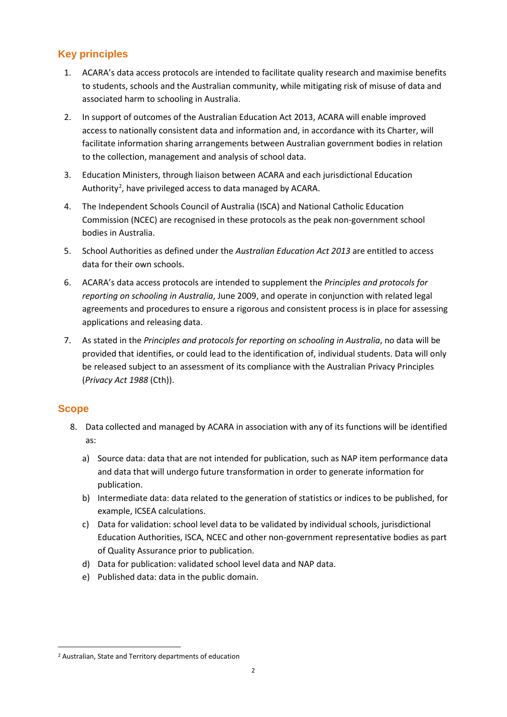#### <span id="page-3-0"></span>**Key principles**

- 1. ACARA's data access protocols are intended to facilitate quality research and maximise benefits to students, schools and the Australian community, while mitigating risk of misuse of data and associated harm to schooling in Australia.
- 2. In support of outcomes of the Australian Education Act 2013, ACARA will enable improved access to nationally consistent data and information and, in accordance with its Charter, will facilitate information sharing arrangements between Australian government bodies in relation to the collection, management and analysis of school data.
- 3. Education Ministers, through liaison between ACARA and each jurisdictional Education Authority<sup>[2](#page-3-2)</sup>, have privileged access to data managed by ACARA.
- 4. The Independent Schools Council of Australia (ISCA) and National Catholic Education Commission (NCEC) are recognised in these protocols as the peak non-government school bodies in Australia.
- 5. School Authorities as defined under the *Australian Education Act 2013* are entitled to access data for their own schools.
- 6. ACARA's data access protocols are intended to supplement the *Principles and protocols for reporting on schooling in Australia*, June 2009, and operate in conjunction with related legal agreements and procedures to ensure a rigorous and consistent process is in place for assessing applications and releasing data.
- 7. As stated in the *Principles and protocols for reporting on schooling in Australia*, no data will be provided that identifies, or could lead to the identification of, individual students. Data will only be released subject to an assessment of its compliance with the Australian Privacy Principles (*Privacy Act 1988* (Cth)).

#### <span id="page-3-1"></span>**Scope**

- 8. Data collected and managed by ACARA in association with any of its functions will be identified as:
	- a) Source data: data that are not intended for publication, such as NAP item performance data and data that will undergo future transformation in order to generate information for publication.
	- b) Intermediate data: data related to the generation of statistics or indices to be published, for example, ICSEA calculations.
	- c) Data for validation: school level data to be validated by individual schools, jurisdictional Education Authorities, ISCA, NCEC and other non-government representative bodies as part of Quality Assurance prior to publication.
	- d) Data for publication: validated school level data and NAP data.
	- e) Published data: data in the public domain.

<span id="page-3-2"></span><sup>2</sup> Australian, State and Territory departments of education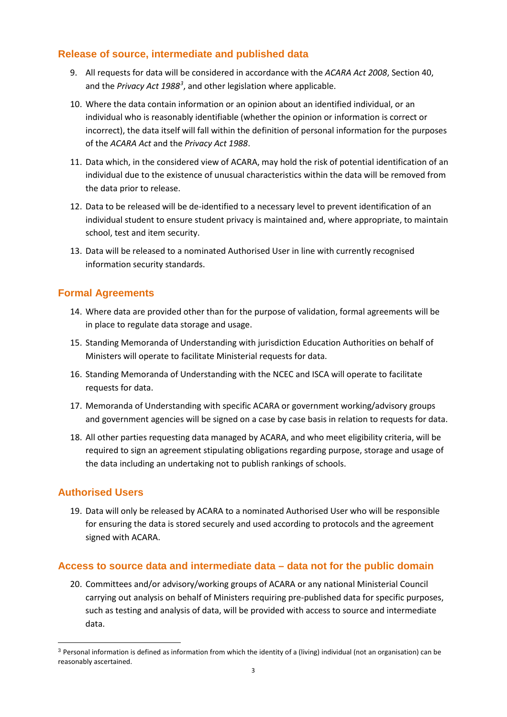#### <span id="page-4-0"></span>**Release of source, intermediate and published data**

- 9. All requests for data will be considered in accordance with the *ACARA Act 2008*, Section 40, and the *Privacy Act 1988<sup>[3](#page-4-4)</sup>*, and other legislation where applicable.
- 10. Where the data contain information or an opinion about an identified individual, or an individual who is reasonably identifiable (whether the opinion or information is correct or incorrect), the data itself will fall within the definition of personal information for the purposes of the *ACARA Act* and the *Privacy Act 1988*.
- 11. Data which, in the considered view of ACARA, may hold the risk of potential identification of an individual due to the existence of unusual characteristics within the data will be removed from the data prior to release.
- 12. Data to be released will be de-identified to a necessary level to prevent identification of an individual student to ensure student privacy is maintained and, where appropriate, to maintain school, test and item security.
- 13. Data will be released to a nominated Authorised User in line with currently recognised information security standards.

#### <span id="page-4-1"></span>**Formal Agreements**

- 14. Where data are provided other than for the purpose of validation, formal agreements will be in place to regulate data storage and usage.
- 15. Standing Memoranda of Understanding with jurisdiction Education Authorities on behalf of Ministers will operate to facilitate Ministerial requests for data.
- 16. Standing Memoranda of Understanding with the NCEC and ISCA will operate to facilitate requests for data.
- 17. Memoranda of Understanding with specific ACARA or government working/advisory groups and government agencies will be signed on a case by case basis in relation to requests for data.
- 18. All other parties requesting data managed by ACARA, and who meet eligibility criteria, will be required to sign an agreement stipulating obligations regarding purpose, storage and usage of the data including an undertaking not to publish rankings of schools.

#### <span id="page-4-2"></span>**Authorised Users**

 $\overline{a}$ 

19. Data will only be released by ACARA to a nominated Authorised User who will be responsible for ensuring the data is stored securely and used according to protocols and the agreement signed with ACARA.

#### <span id="page-4-3"></span>**Access to source data and intermediate data – data not for the public domain**

20. Committees and/or advisory/working groups of ACARA or any national Ministerial Council carrying out analysis on behalf of Ministers requiring pre-published data for specific purposes, such as testing and analysis of data, will be provided with access to source and intermediate data.

<span id="page-4-4"></span><sup>&</sup>lt;sup>3</sup> Personal information is defined as information from which the identity of a (living) individual (not an organisation) can be reasonably ascertained.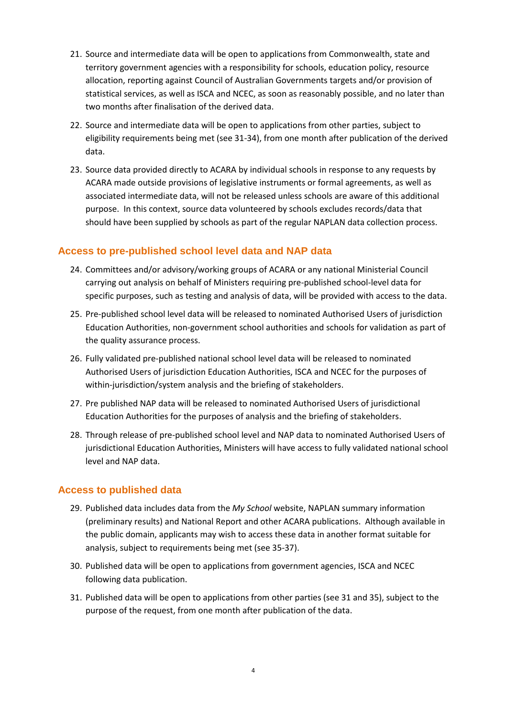- 21. Source and intermediate data will be open to applications from Commonwealth, state and territory government agencies with a responsibility for schools, education policy, resource allocation, reporting against Council of Australian Governments targets and/or provision of statistical services, as well as ISCA and NCEC, as soon as reasonably possible, and no later than two months after finalisation of the derived data.
- 22. Source and intermediate data will be open to applications from other parties, subject to eligibility requirements being met (see 31-34), from one month after publication of the derived data.
- 23. Source data provided directly to ACARA by individual schools in response to any requests by ACARA made outside provisions of legislative instruments or formal agreements, as well as associated intermediate data, will not be released unless schools are aware of this additional purpose. In this context, source data volunteered by schools excludes records/data that should have been supplied by schools as part of the regular NAPLAN data collection process.

#### <span id="page-5-0"></span>**Access to pre-published school level data and NAP data**

- 24. Committees and/or advisory/working groups of ACARA or any national Ministerial Council carrying out analysis on behalf of Ministers requiring pre-published school-level data for specific purposes, such as testing and analysis of data, will be provided with access to the data.
- 25. Pre-published school level data will be released to nominated Authorised Users of jurisdiction Education Authorities, non-government school authorities and schools for validation as part of the quality assurance process.
- 26. Fully validated pre-published national school level data will be released to nominated Authorised Users of jurisdiction Education Authorities, ISCA and NCEC for the purposes of within-jurisdiction/system analysis and the briefing of stakeholders.
- 27. Pre published NAP data will be released to nominated Authorised Users of jurisdictional Education Authorities for the purposes of analysis and the briefing of stakeholders.
- 28. Through release of pre-published school level and NAP data to nominated Authorised Users of jurisdictional Education Authorities, Ministers will have access to fully validated national school level and NAP data.

#### <span id="page-5-1"></span>**Access to published data**

- 29. Published data includes data from the *My School* website, NAPLAN summary information (preliminary results) and National Report and other ACARA publications. Although available in the public domain, applicants may wish to access these data in another format suitable for analysis, subject to requirements being met (see 35-37).
- 30. Published data will be open to applications from government agencies, ISCA and NCEC following data publication.
- 31. Published data will be open to applications from other parties (see 31 and 35), subject to the purpose of the request, from one month after publication of the data.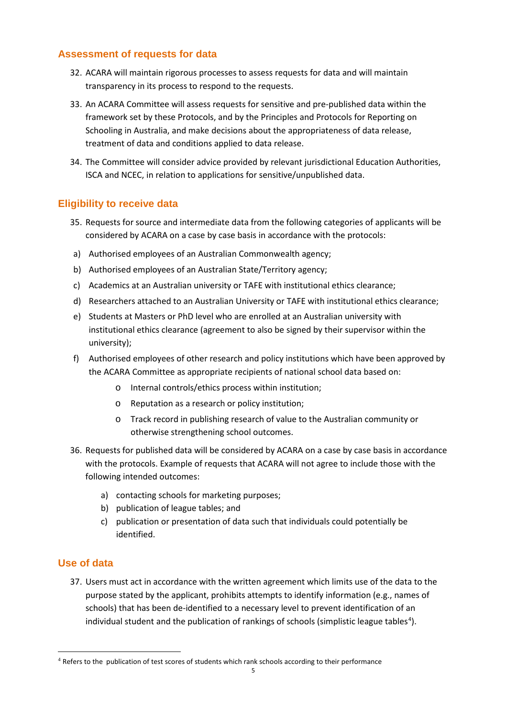#### <span id="page-6-0"></span>**Assessment of requests for data**

- 32. ACARA will maintain rigorous processes to assess requests for data and will maintain transparency in its process to respond to the requests.
- 33. An ACARA Committee will assess requests for sensitive and pre-published data within the framework set by these Protocols, and by the Principles and Protocols for Reporting on Schooling in Australia, and make decisions about the appropriateness of data release, treatment of data and conditions applied to data release.
- 34. The Committee will consider advice provided by relevant jurisdictional Education Authorities, ISCA and NCEC, in relation to applications for sensitive/unpublished data.

#### <span id="page-6-1"></span>**Eligibility to receive data**

- 35. Requests for source and intermediate data from the following categories of applicants will be considered by ACARA on a case by case basis in accordance with the protocols:
- a) Authorised employees of an Australian Commonwealth agency;
- b) Authorised employees of an Australian State/Territory agency;
- c) Academics at an Australian university or TAFE with institutional ethics clearance;
- d) Researchers attached to an Australian University or TAFE with institutional ethics clearance;
- e) Students at Masters or PhD level who are enrolled at an Australian university with institutional ethics clearance (agreement to also be signed by their supervisor within the university);
- f) Authorised employees of other research and policy institutions which have been approved by the ACARA Committee as appropriate recipients of national school data based on:
	- o Internal controls/ethics process within institution;
	- o Reputation as a research or policy institution;
	- o Track record in publishing research of value to the Australian community or otherwise strengthening school outcomes.
- 36. Requests for published data will be considered by ACARA on a case by case basis in accordance with the protocols. Example of requests that ACARA will not agree to include those with the following intended outcomes:
	- a) contacting schools for marketing purposes;
	- b) publication of league tables; and
	- c) publication or presentation of data such that individuals could potentially be identified.

#### <span id="page-6-2"></span>**Use of data**

 $\overline{a}$ 

37. Users must act in accordance with the written agreement which limits use of the data to the purpose stated by the applicant, prohibits attempts to identify information (e.g., names of schools) that has been de-identified to a necessary level to prevent identification of an individual student and the publication of rankings of schools (simplistic league tables<sup>[4](#page-6-3)</sup>).

<span id="page-6-3"></span><sup>&</sup>lt;sup>4</sup> Refers to the publication of test scores of students which rank schools according to their performance